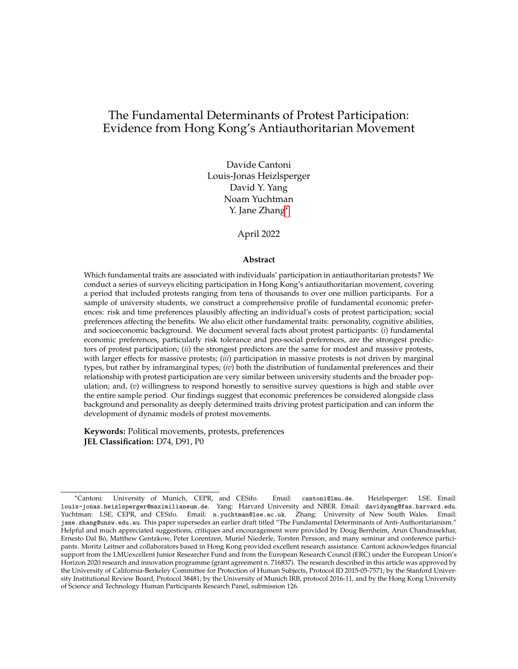## <span id="page-0-0"></span>The Fundamental Determinants of Protest Participation: Evidence from Hong Kong's Antiauthoritarian Movement

Davide Cantoni Louis-Jonas Heizlsperger David Y. Yang Noam Yuchtman Y. Jane Zhang\*

April 2022

#### **Abstract**

Which fundamental traits are associated with individuals' participation in antiauthoritarian protests? We conduct a series of surveys eliciting participation in Hong Kong's antiauthoritarian movement, covering a period that included protests ranging from tens of thousands to over one million participants. For a sample of university students, we construct a comprehensive profile of fundamental economic preferences: risk and time preferences plausibly affecting an individual's costs of protest participation; social preferences affecting the benefits. We also elicit other fundamental traits: personality, cognitive abilities, and socioeconomic background. We document several facts about protest participants: (*i*) fundamental economic preferences, particularly risk tolerance and pro-social preferences, are the strongest predictors of protest participation; (*ii*) the strongest predictors are the same for modest and massive protests, with larger effects for massive protests; (*iii*) participation in massive protests is not driven by marginal types, but rather by inframarginal types; (*iv*) both the distribution of fundamental preferences and their relationship with protest participation are very similar between university students and the broader population; and, (*v*) willingness to respond honestly to sensitive survey questions is high and stable over the entire sample period. Our findings suggest that economic preferences be considered alongside class background and personality as deeply determined traits driving protest participation and can inform the development of dynamic models of protest movements.

**Keywords:** Political movements, protests, preferences **JEL Classification:** D74, D91, P0

<sup>\*</sup>Cantoni: University of Munich, CEPR, and CESifo. Email: cantoni@lmu.de. Heizlsperger: LSE. Email: louis-jonas.heizlsperger@maximilianeum.de. Yang: Harvard University and NBER. Email: davidyang@fas.harvard.edu. Yuchtman: LSE, CEPR, and CESifo. Email: n.yuchtman@lse.ac.uk. Zhang: University of New South Wales. Email: jane.zhang@unsw.edu.au. This paper supersedes an earlier draft titled "The Fundamental Determinants of Anti-Authoritarianism." Helpful and much appreciated suggestions, critiques and encouragement were provided by Doug Bernheim, Arun Chandrasekhar, Ernesto Dal Bo, Matthew Gentzkow, Peter Lorentzen, Muriel Niederle, Torsten Persson, and many seminar and conference partici- ´ pants. Moritz Leitner and collaborators based in Hong Kong provided excellent research assistance. Cantoni acknowledges financial support from the LMUexcellent Junior Researcher Fund and from the European Research Council (ERC) under the European Union's Horizon 2020 research and innovation programme (grant agreement n. 716837). The research described in this article was approved by the University of California-Berkeley Committee for Protection of Human Subjects, Protocol ID 2015-05-7571; by the Stanford University Institutional Review Board, Protocol 38481; by the University of Munich IRB, protocol 2016-11, and by the Hong Kong University of Science and Technology Human Participants Research Panel, submission 126.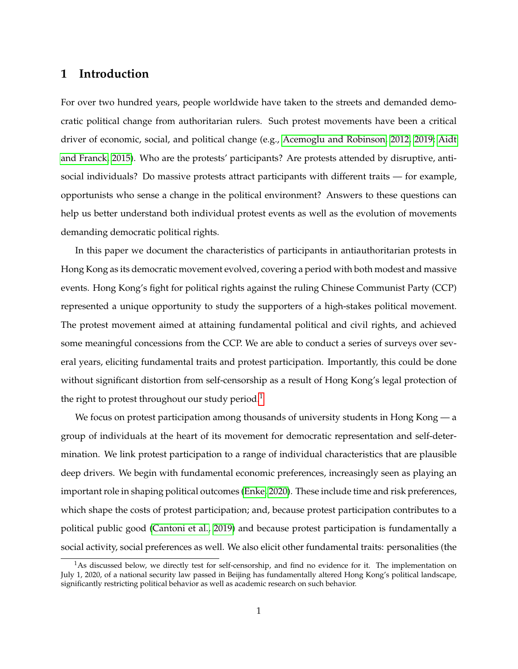### **1 Introduction**

For over two hundred years, people worldwide have taken to the streets and demanded democratic political change from authoritarian rulers. Such protest movements have been a critical driver of economic, social, and political change (e.g., [Acemoglu and Robinson, 2012,](#page-12-0) [2019;](#page-12-1) [Aidt](#page-12-2) [and Franck, 2015\)](#page-12-2). Who are the protests' participants? Are protests attended by disruptive, antisocial individuals? Do massive protests attract participants with different traits — for example, opportunists who sense a change in the political environment? Answers to these questions can help us better understand both individual protest events as well as the evolution of movements demanding democratic political rights.

In this paper we document the characteristics of participants in antiauthoritarian protests in Hong Kong as its democratic movement evolved, covering a period with both modest and massive events. Hong Kong's fight for political rights against the ruling Chinese Communist Party (CCP) represented a unique opportunity to study the supporters of a high-stakes political movement. The protest movement aimed at attaining fundamental political and civil rights, and achieved some meaningful concessions from the CCP. We are able to conduct a series of surveys over several years, eliciting fundamental traits and protest participation. Importantly, this could be done without significant distortion from self-censorship as a result of Hong Kong's legal protection of the right to protest throughout our study period.<sup>[1](#page-0-0)</sup>

We focus on protest participation among thousands of university students in Hong Kong — a group of individuals at the heart of its movement for democratic representation and self-determination. We link protest participation to a range of individual characteristics that are plausible deep drivers. We begin with fundamental economic preferences, increasingly seen as playing an important role in shaping political outcomes [\(Enke, 2020\)](#page-13-0). These include time and risk preferences, which shape the costs of protest participation; and, because protest participation contributes to a political public good [\(Cantoni et al., 2019\)](#page-13-1) and because protest participation is fundamentally a social activity, social preferences as well. We also elicit other fundamental traits: personalities (the

 $<sup>1</sup>$ As discussed below, we directly test for self-censorship, and find no evidence for it. The implementation on</sup> July 1, 2020, of a national security law passed in Beijing has fundamentally altered Hong Kong's political landscape, significantly restricting political behavior as well as academic research on such behavior.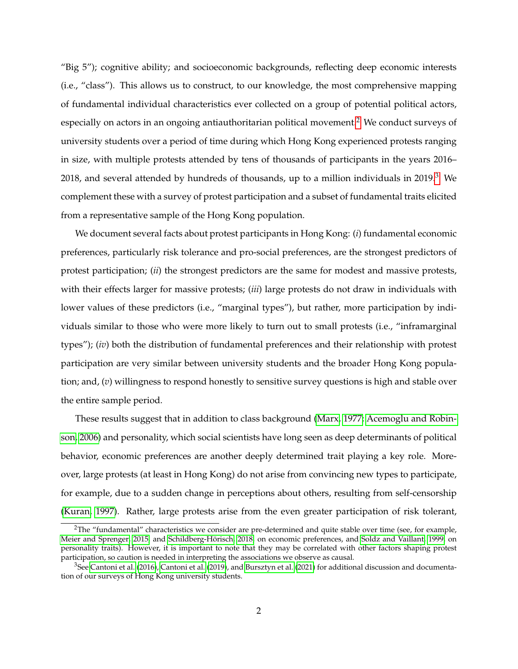"Big 5"); cognitive ability; and socioeconomic backgrounds, reflecting deep economic interests (i.e., "class"). This allows us to construct, to our knowledge, the most comprehensive mapping of fundamental individual characteristics ever collected on a group of potential political actors, especially on actors in an ongoing antiauthoritarian political movement.<sup>[2](#page-0-0)</sup> We conduct surveys of university students over a period of time during which Hong Kong experienced protests ranging in size, with multiple protests attended by tens of thousands of participants in the years 2016– 2018, and several attended by hundreds of thousands, up to a million individuals in 2019. $3$  We complement these with a survey of protest participation and a subset of fundamental traits elicited from a representative sample of the Hong Kong population.

We document several facts about protest participants in Hong Kong: (*i*) fundamental economic preferences, particularly risk tolerance and pro-social preferences, are the strongest predictors of protest participation; (*ii*) the strongest predictors are the same for modest and massive protests, with their effects larger for massive protests; (*iii*) large protests do not draw in individuals with lower values of these predictors (i.e., "marginal types"), but rather, more participation by individuals similar to those who were more likely to turn out to small protests (i.e., "inframarginal types"); (*iv*) both the distribution of fundamental preferences and their relationship with protest participation are very similar between university students and the broader Hong Kong population; and, (*v*) willingness to respond honestly to sensitive survey questions is high and stable over the entire sample period.

These results suggest that in addition to class background [\(Marx, 1977;](#page-14-0) [Acemoglu and Robin](#page-12-3)[son, 2006\)](#page-12-3) and personality, which social scientists have long seen as deep determinants of political behavior, economic preferences are another deeply determined trait playing a key role. Moreover, large protests (at least in Hong Kong) do not arise from convincing new types to participate, for example, due to a sudden change in perceptions about others, resulting from self-censorship [\(Kuran, 1997\)](#page-14-1). Rather, large protests arise from the even greater participation of risk tolerant,

<sup>&</sup>lt;sup>2</sup>The "fundamental" characteristics we consider are pre-determined and quite stable over time (see, for example, [Meier and Sprenger, 2015,](#page-14-2) and Schildberg-Hörisch, 2018, on economic preferences, and [Soldz and Vaillant, 1999,](#page-15-1) on personality traits). However, it is important to note that they may be correlated with other factors shaping protest participation, so caution is needed in interpreting the associations we observe as causal.

 $3$ See [Cantoni et al.](#page-13-1) [\(2016\)](#page-13-2), Cantoni et al. [\(2019\)](#page-13-1), and [Bursztyn et al.](#page-13-3) [\(2021\)](#page-13-3) for additional discussion and documentation of our surveys of Hong Kong university students.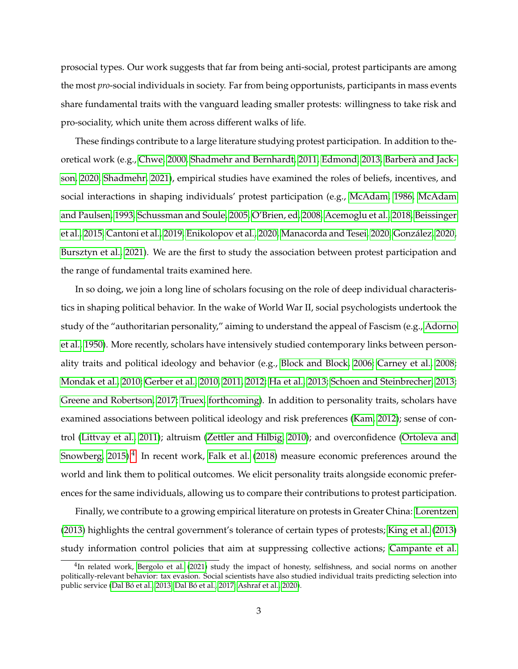prosocial types. Our work suggests that far from being anti-social, protest participants are among the most *pro*-social individuals in society. Far from being opportunists, participants in mass events share fundamental traits with the vanguard leading smaller protests: willingness to take risk and pro-sociality, which unite them across different walks of life.

These findings contribute to a large literature studying protest participation. In addition to theoretical work (e.g., [Chwe, 2000,](#page-13-4) [Shadmehr and Bernhardt, 2011,](#page-15-2) [Edmond, 2013,](#page-13-5) [Barbera and Jack-](#page-12-4) ` [son, 2020,](#page-12-4) [Shadmehr, 2021\)](#page-15-3), empirical studies have examined the roles of beliefs, incentives, and social interactions in shaping individuals' protest participation (e.g., [McAdam, 1986,](#page-14-3) [McAdam](#page-14-4) [and Paulsen, 1993,](#page-14-4) [Schussman and Soule, 2005,](#page-15-4) [O'Brien, ed, 2008,](#page-14-5) [Acemoglu et al., 2018,](#page-12-5) [Beissinger](#page-12-6) [et al., 2015,](#page-12-6) [Cantoni et al., 2019,](#page-13-1) [Enikolopov et al., 2020,](#page-13-6) [Manacorda and Tesei, 2020,](#page-14-6) [Gonzalez, 2020,](#page-13-7) ´ [Bursztyn et al., 2021\)](#page-13-3). We are the first to study the association between protest participation and the range of fundamental traits examined here.

In so doing, we join a long line of scholars focusing on the role of deep individual characteristics in shaping political behavior. In the wake of World War II, social psychologists undertook the study of the "authoritarian personality," aiming to understand the appeal of Fascism (e.g., [Adorno](#page-12-7) [et al., 1950\)](#page-12-7). More recently, scholars have intensively studied contemporary links between personality traits and political ideology and behavior (e.g., [Block and Block, 2006;](#page-12-8) [Carney et al., 2008;](#page-13-8) [Mondak et al., 2010;](#page-14-7) [Gerber et al., 2010,](#page-13-9) [2011,](#page-13-10) [2012;](#page-13-11) [Ha et al., 2013;](#page-14-8) [Schoen and Steinbrecher, 2013;](#page-15-5) [Greene and Robertson, 2017;](#page-13-12) [Truex, forthcoming\)](#page-15-6). In addition to personality traits, scholars have examined associations between political ideology and risk preferences [\(Kam, 2012\)](#page-14-9); sense of control [\(Littvay et al., 2011\)](#page-14-10); altruism [\(Zettler and Hilbig, 2010\)](#page-15-7); and overconfidence [\(Ortoleva and](#page-15-8) [Snowberg, 2015\)](#page-15-8). $^4$  $^4$  In recent work, [Falk et al.](#page-13-13) [\(2018\)](#page-13-13) measure economic preferences around the world and link them to political outcomes. We elicit personality traits alongside economic preferences for the same individuals, allowing us to compare their contributions to protest participation.

Finally, we contribute to a growing empirical literature on protests in Greater China: [Lorentzen](#page-14-11) [\(2013\)](#page-14-11) highlights the central government's tolerance of certain types of protests; [King et al.](#page-14-12) [\(2013\)](#page-14-12) study information control policies that aim at suppressing collective actions; [Campante et al.](#page-13-14)

<sup>&</sup>lt;sup>4</sup>In related work, [Bergolo et al.](#page-12-9) [\(2021\)](#page-12-9) study the impact of honesty, selfishness, and social norms on another politically-relevant behavior: tax evasion. Social scientists have also studied individual traits predicting selection into public service (Dal Bó et al., 2013; Dal Bó et al., 2017; [Ashraf et al., 2020\)](#page-12-12).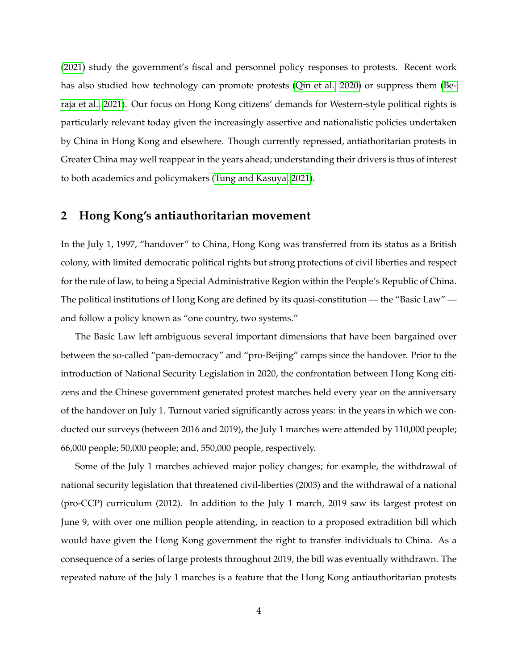[\(2021\)](#page-13-14) study the government's fiscal and personnel policy responses to protests. Recent work has also studied how technology can promote protests [\(Qin et al., 2020\)](#page-15-9) or suppress them [\(Be](#page-12-13)[raja et al., 2021\)](#page-12-13). Our focus on Hong Kong citizens' demands for Western-style political rights is particularly relevant today given the increasingly assertive and nationalistic policies undertaken by China in Hong Kong and elsewhere. Though currently repressed, antiathoritarian protests in Greater China may well reappear in the years ahead; understanding their drivers is thus of interest to both academics and policymakers [\(Tung and Kasuya, 2021\)](#page-15-10).

## **2 Hong Kong's antiauthoritarian movement**

In the July 1, 1997, "handover" to China, Hong Kong was transferred from its status as a British colony, with limited democratic political rights but strong protections of civil liberties and respect for the rule of law, to being a Special Administrative Region within the People's Republic of China. The political institutions of Hong Kong are defined by its quasi-constitution — the "Basic Law" and follow a policy known as "one country, two systems."

The Basic Law left ambiguous several important dimensions that have been bargained over between the so-called "pan-democracy" and "pro-Beijing" camps since the handover. Prior to the introduction of National Security Legislation in 2020, the confrontation between Hong Kong citizens and the Chinese government generated protest marches held every year on the anniversary of the handover on July 1. Turnout varied significantly across years: in the years in which we conducted our surveys (between 2016 and 2019), the July 1 marches were attended by 110,000 people; 66,000 people; 50,000 people; and, 550,000 people, respectively.

Some of the July 1 marches achieved major policy changes; for example, the withdrawal of national security legislation that threatened civil-liberties (2003) and the withdrawal of a national (pro-CCP) curriculum (2012). In addition to the July 1 march, 2019 saw its largest protest on June 9, with over one million people attending, in reaction to a proposed extradition bill which would have given the Hong Kong government the right to transfer individuals to China. As a consequence of a series of large protests throughout 2019, the bill was eventually withdrawn. The repeated nature of the July 1 marches is a feature that the Hong Kong antiauthoritarian protests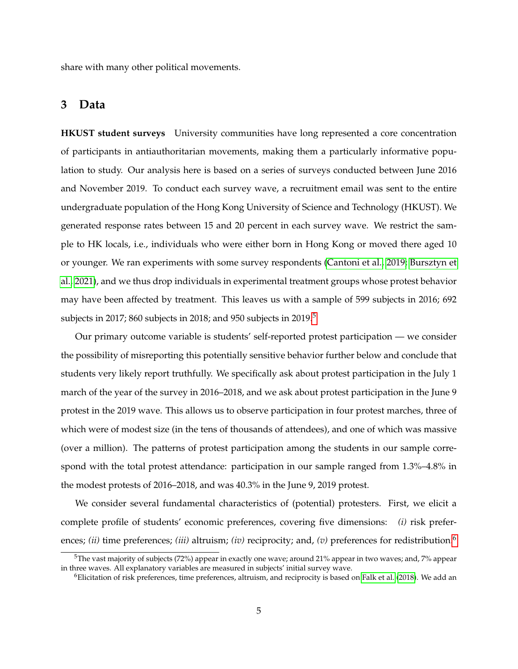share with many other political movements.

#### **3 Data**

**HKUST student surveys** University communities have long represented a core concentration of participants in antiauthoritarian movements, making them a particularly informative population to study. Our analysis here is based on a series of surveys conducted between June 2016 and November 2019. To conduct each survey wave, a recruitment email was sent to the entire undergraduate population of the Hong Kong University of Science and Technology (HKUST). We generated response rates between 15 and 20 percent in each survey wave. We restrict the sample to HK locals, i.e., individuals who were either born in Hong Kong or moved there aged 10 or younger. We ran experiments with some survey respondents [\(Cantoni et al., 2019;](#page-13-1) [Bursztyn et](#page-13-3) [al., 2021\)](#page-13-3), and we thus drop individuals in experimental treatment groups whose protest behavior may have been affected by treatment. This leaves us with a sample of 599 subjects in 2016; 692 subjects in 2017; 860 subjects in 2018; and 9[5](#page-0-0)0 subjects in 2019.<sup>5</sup>

Our primary outcome variable is students' self-reported protest participation — we consider the possibility of misreporting this potentially sensitive behavior further below and conclude that students very likely report truthfully. We specifically ask about protest participation in the July 1 march of the year of the survey in 2016–2018, and we ask about protest participation in the June 9 protest in the 2019 wave. This allows us to observe participation in four protest marches, three of which were of modest size (in the tens of thousands of attendees), and one of which was massive (over a million). The patterns of protest participation among the students in our sample correspond with the total protest attendance: participation in our sample ranged from 1.3%–4.8% in the modest protests of 2016–2018, and was 40.3% in the June 9, 2019 protest.

We consider several fundamental characteristics of (potential) protesters. First, we elicit a complete profile of students' economic preferences, covering five dimensions: *(i)* risk preferences; *(ii)* time preferences; *(iii)* altruism; *(iv)* reciprocity; and, *(v)* preferences for redistribution.<sup>[6](#page-0-0)</sup>

<sup>&</sup>lt;sup>5</sup>The vast majority of subjects (72%) appear in exactly one wave; around 21% appear in two waves; and, 7% appear in three waves. All explanatory variables are measured in subjects' initial survey wave.

 $6$ Elicitation of risk preferences, time preferences, altruism, and reciprocity is based on [Falk et al.](#page-13-13) [\(2018\)](#page-13-13). We add an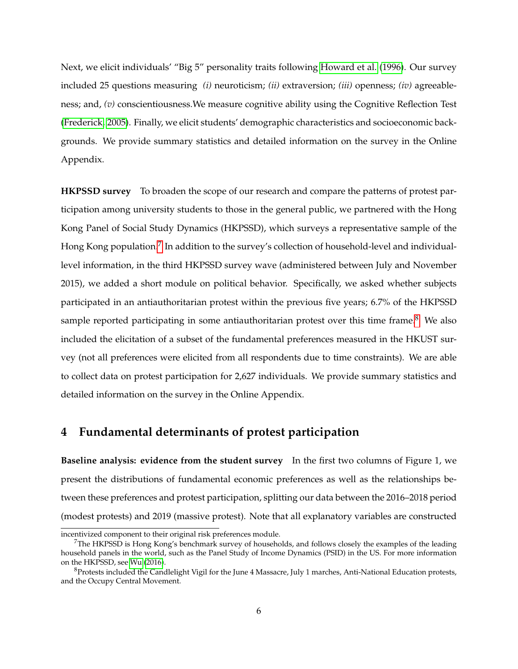Next, we elicit individuals' "Big 5" personality traits following [Howard et al.](#page-14-13) [\(1996\)](#page-14-13). Our survey included 25 questions measuring *(i)* neuroticism; *(ii)* extraversion; *(iii)* openness; *(iv)* agreeableness; and, *(v)* conscientiousness.We measure cognitive ability using the Cognitive Reflection Test [\(Frederick, 2005\)](#page-13-15). Finally, we elicit students' demographic characteristics and socioeconomic backgrounds. We provide summary statistics and detailed information on the survey in the Online Appendix.

**HKPSSD survey** To broaden the scope of our research and compare the patterns of protest participation among university students to those in the general public, we partnered with the Hong Kong Panel of Social Study Dynamics (HKPSSD), which surveys a representative sample of the Hong Kong population.<sup>[7](#page-0-0)</sup> In addition to the survey's collection of household-level and individuallevel information, in the third HKPSSD survey wave (administered between July and November 2015), we added a short module on political behavior. Specifically, we asked whether subjects participated in an antiauthoritarian protest within the previous five years; 6.7% of the HKPSSD sample reported participating in some antiauthoritarian protest over this time frame. $8$  We also included the elicitation of a subset of the fundamental preferences measured in the HKUST survey (not all preferences were elicited from all respondents due to time constraints). We are able to collect data on protest participation for 2,627 individuals. We provide summary statistics and detailed information on the survey in the Online Appendix.

### **4 Fundamental determinants of protest participation**

**Baseline analysis: evidence from the student survey** In the first two columns of Figure 1, we present the distributions of fundamental economic preferences as well as the relationships between these preferences and protest participation, splitting our data between the 2016–2018 period (modest protests) and 2019 (massive protest). Note that all explanatory variables are constructed

incentivized component to their original risk preferences module.

 $7$ The HKPSSD is Hong Kong's benchmark survey of households, and follows closely the examples of the leading household panels in the world, such as the Panel Study of Income Dynamics (PSID) in the US. For more information on the HKPSSD, see [Wu](#page-15-11) [\(2016\)](#page-15-11).

 $8$ Protests included the Candlelight Vigil for the June 4 Massacre, July 1 marches, Anti-National Education protests, and the Occupy Central Movement.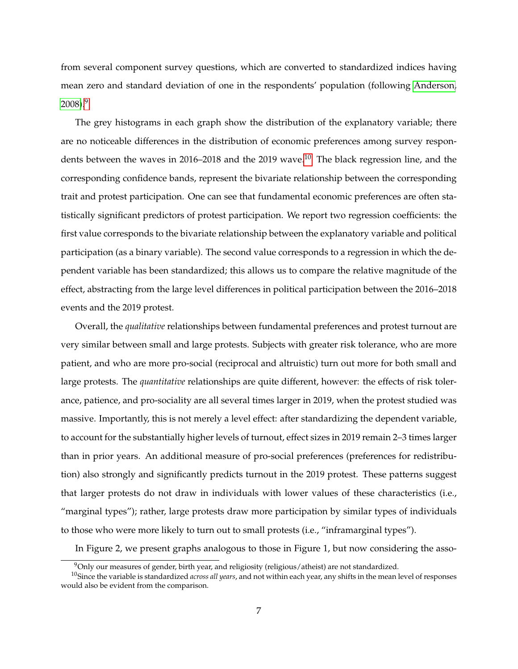from several component survey questions, which are converted to standardized indices having mean zero and standard deviation of one in the respondents' population (following [Anderson,](#page-12-14)  $2008$ ).<sup>[9](#page-0-0)</sup>

The grey histograms in each graph show the distribution of the explanatory variable; there are no noticeable differences in the distribution of economic preferences among survey respon-dents between the waves in 2016–2018 and the 2019 wave.<sup>[10](#page-0-0)</sup> The black regression line, and the corresponding confidence bands, represent the bivariate relationship between the corresponding trait and protest participation. One can see that fundamental economic preferences are often statistically significant predictors of protest participation. We report two regression coefficients: the first value corresponds to the bivariate relationship between the explanatory variable and political participation (as a binary variable). The second value corresponds to a regression in which the dependent variable has been standardized; this allows us to compare the relative magnitude of the effect, abstracting from the large level differences in political participation between the 2016–2018 events and the 2019 protest.

Overall, the *qualitative* relationships between fundamental preferences and protest turnout are very similar between small and large protests. Subjects with greater risk tolerance, who are more patient, and who are more pro-social (reciprocal and altruistic) turn out more for both small and large protests. The *quantitative* relationships are quite different, however: the effects of risk tolerance, patience, and pro-sociality are all several times larger in 2019, when the protest studied was massive. Importantly, this is not merely a level effect: after standardizing the dependent variable, to account for the substantially higher levels of turnout, effect sizes in 2019 remain 2–3 times larger than in prior years. An additional measure of pro-social preferences (preferences for redistribution) also strongly and significantly predicts turnout in the 2019 protest. These patterns suggest that larger protests do not draw in individuals with lower values of these characteristics (i.e., "marginal types"); rather, large protests draw more participation by similar types of individuals to those who were more likely to turn out to small protests (i.e., "inframarginal types").

In Figure 2, we present graphs analogous to those in Figure 1, but now considering the asso-

<sup>&</sup>lt;sup>9</sup>Only our measures of gender, birth year, and religiosity (religious/atheist) are not standardized.

<sup>10</sup>Since the variable is standardized *across all years*, and not within each year, any shifts in the mean level of responses would also be evident from the comparison.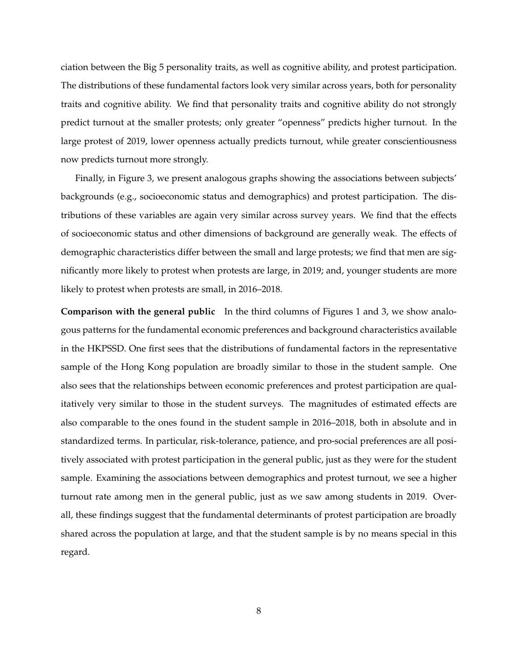ciation between the Big 5 personality traits, as well as cognitive ability, and protest participation. The distributions of these fundamental factors look very similar across years, both for personality traits and cognitive ability. We find that personality traits and cognitive ability do not strongly predict turnout at the smaller protests; only greater "openness" predicts higher turnout. In the large protest of 2019, lower openness actually predicts turnout, while greater conscientiousness now predicts turnout more strongly.

Finally, in Figure 3, we present analogous graphs showing the associations between subjects' backgrounds (e.g., socioeconomic status and demographics) and protest participation. The distributions of these variables are again very similar across survey years. We find that the effects of socioeconomic status and other dimensions of background are generally weak. The effects of demographic characteristics differ between the small and large protests; we find that men are significantly more likely to protest when protests are large, in 2019; and, younger students are more likely to protest when protests are small, in 2016–2018.

**Comparison with the general public** In the third columns of Figures 1 and 3, we show analogous patterns for the fundamental economic preferences and background characteristics available in the HKPSSD. One first sees that the distributions of fundamental factors in the representative sample of the Hong Kong population are broadly similar to those in the student sample. One also sees that the relationships between economic preferences and protest participation are qualitatively very similar to those in the student surveys. The magnitudes of estimated effects are also comparable to the ones found in the student sample in 2016–2018, both in absolute and in standardized terms. In particular, risk-tolerance, patience, and pro-social preferences are all positively associated with protest participation in the general public, just as they were for the student sample. Examining the associations between demographics and protest turnout, we see a higher turnout rate among men in the general public, just as we saw among students in 2019. Overall, these findings suggest that the fundamental determinants of protest participation are broadly shared across the population at large, and that the student sample is by no means special in this regard.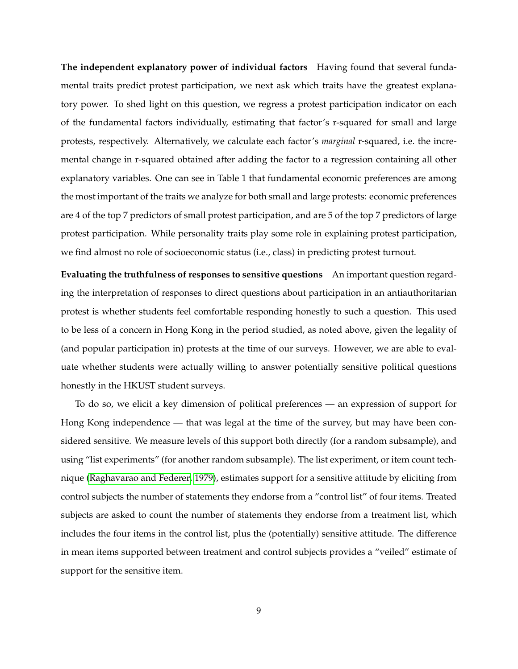**The independent explanatory power of individual factors** Having found that several fundamental traits predict protest participation, we next ask which traits have the greatest explanatory power. To shed light on this question, we regress a protest participation indicator on each of the fundamental factors individually, estimating that factor's r-squared for small and large protests, respectively. Alternatively, we calculate each factor's *marginal* r-squared, i.e. the incremental change in r-squared obtained after adding the factor to a regression containing all other explanatory variables. One can see in Table 1 that fundamental economic preferences are among the most important of the traits we analyze for both small and large protests: economic preferences are 4 of the top 7 predictors of small protest participation, and are 5 of the top 7 predictors of large protest participation. While personality traits play some role in explaining protest participation, we find almost no role of socioeconomic status (i.e., class) in predicting protest turnout.

**Evaluating the truthfulness of responses to sensitive questions** An important question regarding the interpretation of responses to direct questions about participation in an antiauthoritarian protest is whether students feel comfortable responding honestly to such a question. This used to be less of a concern in Hong Kong in the period studied, as noted above, given the legality of (and popular participation in) protests at the time of our surveys. However, we are able to evaluate whether students were actually willing to answer potentially sensitive political questions honestly in the HKUST student surveys.

To do so, we elicit a key dimension of political preferences — an expression of support for Hong Kong independence — that was legal at the time of the survey, but may have been considered sensitive. We measure levels of this support both directly (for a random subsample), and using "list experiments" (for another random subsample). The list experiment, or item count technique [\(Raghavarao and Federer, 1979\)](#page-15-12), estimates support for a sensitive attitude by eliciting from control subjects the number of statements they endorse from a "control list" of four items. Treated subjects are asked to count the number of statements they endorse from a treatment list, which includes the four items in the control list, plus the (potentially) sensitive attitude. The difference in mean items supported between treatment and control subjects provides a "veiled" estimate of support for the sensitive item.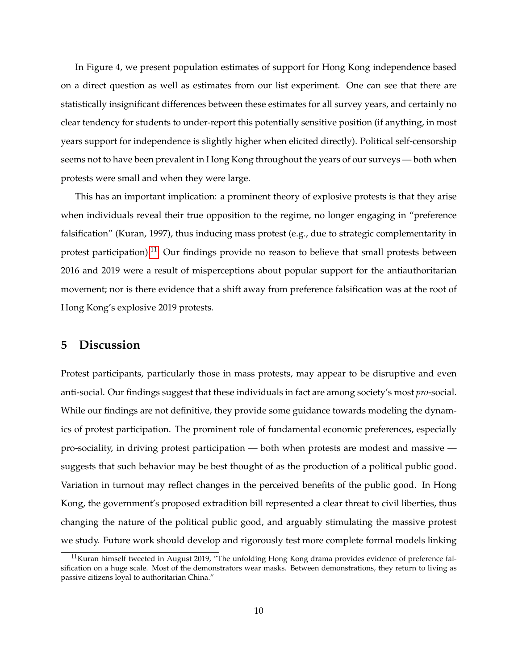In Figure 4, we present population estimates of support for Hong Kong independence based on a direct question as well as estimates from our list experiment. One can see that there are statistically insignificant differences between these estimates for all survey years, and certainly no clear tendency for students to under-report this potentially sensitive position (if anything, in most years support for independence is slightly higher when elicited directly). Political self-censorship seems not to have been prevalent in Hong Kong throughout the years of our surveys — both when protests were small and when they were large.

This has an important implication: a prominent theory of explosive protests is that they arise when individuals reveal their true opposition to the regime, no longer engaging in "preference falsification" (Kuran, 1997), thus inducing mass protest (e.g., due to strategic complementarity in protest participation).<sup>[11](#page-0-0)</sup> Our findings provide no reason to believe that small protests between 2016 and 2019 were a result of misperceptions about popular support for the antiauthoritarian movement; nor is there evidence that a shift away from preference falsification was at the root of Hong Kong's explosive 2019 protests.

## **5 Discussion**

Protest participants, particularly those in mass protests, may appear to be disruptive and even anti-social. Our findings suggest that these individuals in fact are among society's most *pro*-social. While our findings are not definitive, they provide some guidance towards modeling the dynamics of protest participation. The prominent role of fundamental economic preferences, especially pro-sociality, in driving protest participation — both when protests are modest and massive suggests that such behavior may be best thought of as the production of a political public good. Variation in turnout may reflect changes in the perceived benefits of the public good. In Hong Kong, the government's proposed extradition bill represented a clear threat to civil liberties, thus changing the nature of the political public good, and arguably stimulating the massive protest we study. Future work should develop and rigorously test more complete formal models linking

<sup>&</sup>lt;sup>11</sup>Kuran himself tweeted in August 2019, "The unfolding Hong Kong drama provides evidence of preference falsification on a huge scale. Most of the demonstrators wear masks. Between demonstrations, they return to living as passive citizens loyal to authoritarian China."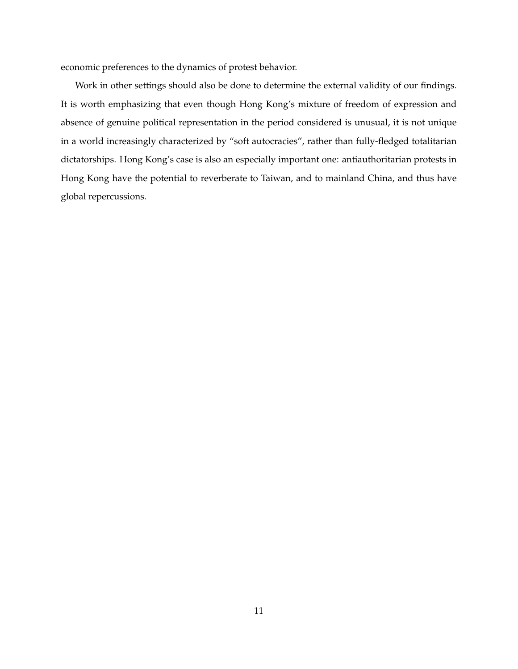economic preferences to the dynamics of protest behavior.

Work in other settings should also be done to determine the external validity of our findings. It is worth emphasizing that even though Hong Kong's mixture of freedom of expression and absence of genuine political representation in the period considered is unusual, it is not unique in a world increasingly characterized by "soft autocracies", rather than fully-fledged totalitarian dictatorships. Hong Kong's case is also an especially important one: antiauthoritarian protests in Hong Kong have the potential to reverberate to Taiwan, and to mainland China, and thus have global repercussions.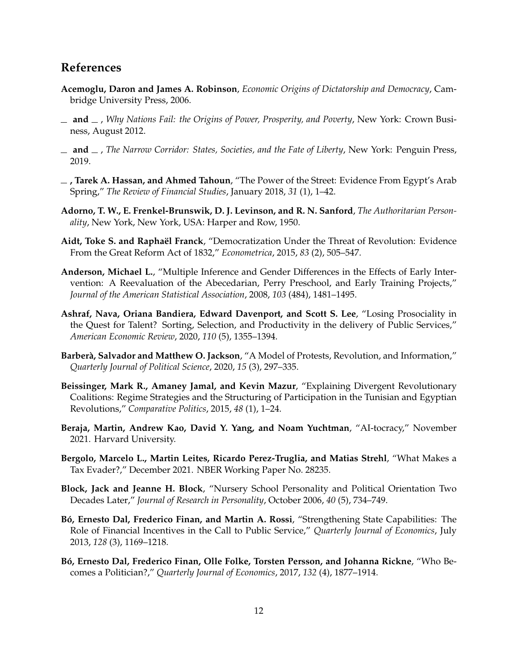## **References**

- <span id="page-12-3"></span>**Acemoglu, Daron and James A. Robinson**, *Economic Origins of Dictatorship and Democracy*, Cambridge University Press, 2006.
- <span id="page-12-0"></span>**and** , *Why Nations Fail: the Origins of Power, Prosperity, and Poverty*, New York: Crown Business, August 2012.
- <span id="page-12-1"></span>**and** , *The Narrow Corridor: States, Societies, and the Fate of Liberty*, New York: Penguin Press, 2019.
- <span id="page-12-5"></span>**, Tarek A. Hassan, and Ahmed Tahoun**, "The Power of the Street: Evidence From Egypt's Arab Spring," *The Review of Financial Studies*, January 2018, *31* (1), 1–42.
- <span id="page-12-7"></span>**Adorno, T. W., E. Frenkel-Brunswik, D. J. Levinson, and R. N. Sanford**, *The Authoritarian Personality*, New York, New York, USA: Harper and Row, 1950.
- <span id="page-12-2"></span>Aidt, Toke S. and Raphaël Franck, "Democratization Under the Threat of Revolution: Evidence From the Great Reform Act of 1832," *Econometrica*, 2015, *83* (2), 505–547.
- <span id="page-12-14"></span>**Anderson, Michael L.**, "Multiple Inference and Gender Differences in the Effects of Early Intervention: A Reevaluation of the Abecedarian, Perry Preschool, and Early Training Projects," *Journal of the American Statistical Association*, 2008, *103* (484), 1481–1495.
- <span id="page-12-12"></span>**Ashraf, Nava, Oriana Bandiera, Edward Davenport, and Scott S. Lee**, "Losing Prosociality in the Quest for Talent? Sorting, Selection, and Productivity in the delivery of Public Services," *American Economic Review*, 2020, *110* (5), 1355–1394.
- <span id="page-12-4"></span>**Barberà, Salvador and Matthew O. Jackson, "A Model of Protests, Revolution, and Information,"** *Quarterly Journal of Political Science*, 2020, *15* (3), 297–335.
- <span id="page-12-6"></span>**Beissinger, Mark R., Amaney Jamal, and Kevin Mazur**, "Explaining Divergent Revolutionary Coalitions: Regime Strategies and the Structuring of Participation in the Tunisian and Egyptian Revolutions," *Comparative Politics*, 2015, *48* (1), 1–24.
- <span id="page-12-13"></span>**Beraja, Martin, Andrew Kao, David Y. Yang, and Noam Yuchtman**, "AI-tocracy," November 2021. Harvard University.
- <span id="page-12-9"></span>**Bergolo, Marcelo L., Martin Leites, Ricardo Perez-Truglia, and Matias Strehl**, "What Makes a Tax Evader?," December 2021. NBER Working Paper No. 28235.
- <span id="page-12-8"></span>**Block, Jack and Jeanne H. Block**, "Nursery School Personality and Political Orientation Two Decades Later," *Journal of Research in Personality*, October 2006, *40* (5), 734–749.
- <span id="page-12-10"></span>Bó, Ernesto Dal, Frederico Finan, and Martin A. Rossi, "Strengthening State Capabilities: The Role of Financial Incentives in the Call to Public Service," *Quarterly Journal of Economics*, July 2013, *128* (3), 1169–1218.
- <span id="page-12-11"></span>**B ´o, Ernesto Dal, Frederico Finan, Olle Folke, Torsten Persson, and Johanna Rickne**, "Who Becomes a Politician?," *Quarterly Journal of Economics*, 2017, *132* (4), 1877–1914.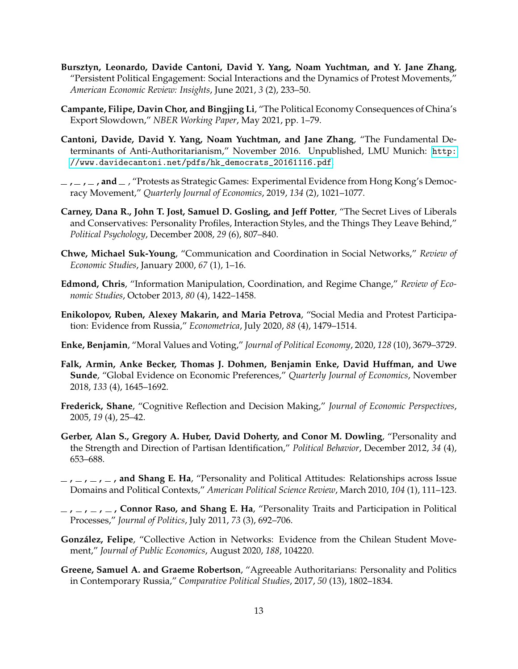- <span id="page-13-3"></span>**Bursztyn, Leonardo, Davide Cantoni, David Y. Yang, Noam Yuchtman, and Y. Jane Zhang**, "Persistent Political Engagement: Social Interactions and the Dynamics of Protest Movements," *American Economic Review: Insights*, June 2021, *3* (2), 233–50.
- <span id="page-13-14"></span>**Campante, Filipe, Davin Chor, and Bingjing Li**, "The Political Economy Consequences of China's Export Slowdown," *NBER Working Paper*, May 2021, pp. 1–79.
- <span id="page-13-2"></span>**Cantoni, Davide, David Y. Yang, Noam Yuchtman, and Jane Zhang**, "The Fundamental Determinants of Anti-Authoritarianism," November 2016. Unpublished, LMU Munich: [http:](http://www.davidecantoni.net/pdfs/hk_democrats_20161116.pdf) [//www.davidecantoni.net/pdfs/hk\\_democrats\\_20161116.pdf](http://www.davidecantoni.net/pdfs/hk_democrats_20161116.pdf).
- <span id="page-13-1"></span>**, , , and** , "Protests as Strategic Games: Experimental Evidence from Hong Kong's Democracy Movement," *Quarterly Journal of Economics*, 2019, *134* (2), 1021–1077.
- <span id="page-13-8"></span>**Carney, Dana R., John T. Jost, Samuel D. Gosling, and Jeff Potter**, "The Secret Lives of Liberals and Conservatives: Personality Profiles, Interaction Styles, and the Things They Leave Behind," *Political Psychology*, December 2008, *29* (6), 807–840.
- <span id="page-13-4"></span>**Chwe, Michael Suk-Young**, "Communication and Coordination in Social Networks," *Review of Economic Studies*, January 2000, *67* (1), 1–16.
- <span id="page-13-5"></span>**Edmond, Chris**, "Information Manipulation, Coordination, and Regime Change," *Review of Economic Studies*, October 2013, *80* (4), 1422–1458.
- <span id="page-13-6"></span>**Enikolopov, Ruben, Alexey Makarin, and Maria Petrova**, "Social Media and Protest Participation: Evidence from Russia," *Econometrica*, July 2020, *88* (4), 1479–1514.
- <span id="page-13-0"></span>**Enke, Benjamin**, "Moral Values and Voting," *Journal of Political Economy*, 2020, *128* (10), 3679–3729.
- <span id="page-13-13"></span>**Falk, Armin, Anke Becker, Thomas J. Dohmen, Benjamin Enke, David Huffman, and Uwe Sunde**, "Global Evidence on Economic Preferences," *Quarterly Journal of Economics*, November 2018, *133* (4), 1645–1692.
- <span id="page-13-15"></span>**Frederick, Shane**, "Cognitive Reflection and Decision Making," *Journal of Economic Perspectives*, 2005, *19* (4), 25–42.
- <span id="page-13-11"></span>**Gerber, Alan S., Gregory A. Huber, David Doherty, and Conor M. Dowling**, "Personality and the Strength and Direction of Partisan Identification," *Political Behavior*, December 2012, *34* (4), 653–688.
- <span id="page-13-9"></span>**, , , , and Shang E. Ha**, "Personality and Political Attitudes: Relationships across Issue Domains and Political Contexts," *American Political Science Review*, March 2010, *104* (1), 111–123.
- <span id="page-13-10"></span>**, , , , Connor Raso, and Shang E. Ha**, "Personality Traits and Participation in Political Processes," *Journal of Politics*, July 2011, *73* (3), 692–706.
- <span id="page-13-7"></span>González, Felipe, "Collective Action in Networks: Evidence from the Chilean Student Movement," *Journal of Public Economics*, August 2020, *188*, 104220.
- <span id="page-13-12"></span>**Greene, Samuel A. and Graeme Robertson**, "Agreeable Authoritarians: Personality and Politics in Contemporary Russia," *Comparative Political Studies*, 2017, *50* (13), 1802–1834.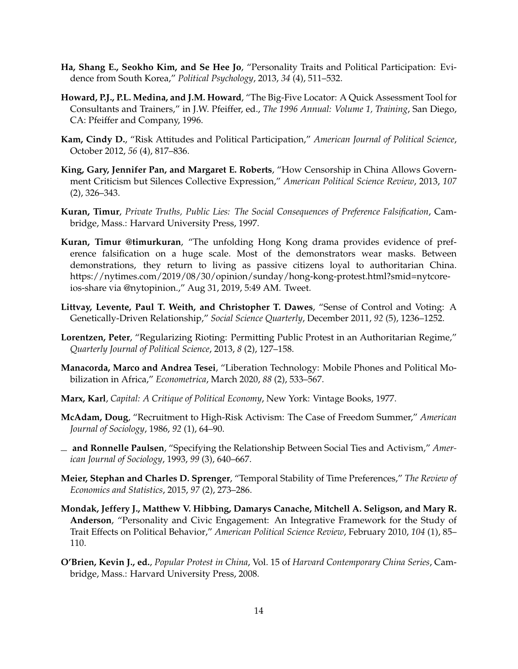- <span id="page-14-8"></span>**Ha, Shang E., Seokho Kim, and Se Hee Jo**, "Personality Traits and Political Participation: Evidence from South Korea," *Political Psychology*, 2013, *34* (4), 511–532.
- <span id="page-14-13"></span>**Howard, P.J., P.L. Medina, and J.M. Howard**, "The Big-Five Locator: A Quick Assessment Tool for Consultants and Trainers," in J.W. Pfeiffer, ed., *The 1996 Annual: Volume 1, Training*, San Diego, CA: Pfeiffer and Company, 1996.
- <span id="page-14-9"></span>**Kam, Cindy D.**, "Risk Attitudes and Political Participation," *American Journal of Political Science*, October 2012, *56* (4), 817–836.
- <span id="page-14-12"></span>**King, Gary, Jennifer Pan, and Margaret E. Roberts**, "How Censorship in China Allows Government Criticism but Silences Collective Expression," *American Political Science Review*, 2013, *107* (2), 326–343.
- <span id="page-14-1"></span>**Kuran, Timur**, *Private Truths, Public Lies: The Social Consequences of Preference Falsification*, Cambridge, Mass.: Harvard University Press, 1997.
- **Kuran, Timur @timurkuran**, "The unfolding Hong Kong drama provides evidence of preference falsification on a huge scale. Most of the demonstrators wear masks. Between demonstrations, they return to living as passive citizens loyal to authoritarian China. https://nytimes.com/2019/08/30/opinion/sunday/hong-kong-protest.html?smid=nytcoreios-share via @nytopinion.," Aug 31, 2019, 5:49 AM. Tweet.
- <span id="page-14-10"></span>**Littvay, Levente, Paul T. Weith, and Christopher T. Dawes**, "Sense of Control and Voting: A Genetically-Driven Relationship," *Social Science Quarterly*, December 2011, *92* (5), 1236–1252.
- <span id="page-14-11"></span>**Lorentzen, Peter**, "Regularizing Rioting: Permitting Public Protest in an Authoritarian Regime," *Quarterly Journal of Political Science*, 2013, *8* (2), 127–158.
- <span id="page-14-6"></span>**Manacorda, Marco and Andrea Tesei**, "Liberation Technology: Mobile Phones and Political Mobilization in Africa," *Econometrica*, March 2020, *88* (2), 533–567.
- <span id="page-14-0"></span>**Marx, Karl**, *Capital: A Critique of Political Economy*, New York: Vintage Books, 1977.
- <span id="page-14-3"></span>**McAdam, Doug**, "Recruitment to High-Risk Activism: The Case of Freedom Summer," *American Journal of Sociology*, 1986, *92* (1), 64–90.
- <span id="page-14-4"></span>**and Ronnelle Paulsen**, "Specifying the Relationship Between Social Ties and Activism," *American Journal of Sociology*, 1993, *99* (3), 640–667.
- <span id="page-14-2"></span>**Meier, Stephan and Charles D. Sprenger**, "Temporal Stability of Time Preferences," *The Review of Economics and Statistics*, 2015, *97* (2), 273–286.
- <span id="page-14-7"></span>**Mondak, Jeffery J., Matthew V. Hibbing, Damarys Canache, Mitchell A. Seligson, and Mary R. Anderson**, "Personality and Civic Engagement: An Integrative Framework for the Study of Trait Effects on Political Behavior," *American Political Science Review*, February 2010, *104* (1), 85– 110.
- <span id="page-14-5"></span>**O'Brien, Kevin J., ed.**, *Popular Protest in China*, Vol. 15 of *Harvard Contemporary China Series*, Cambridge, Mass.: Harvard University Press, 2008.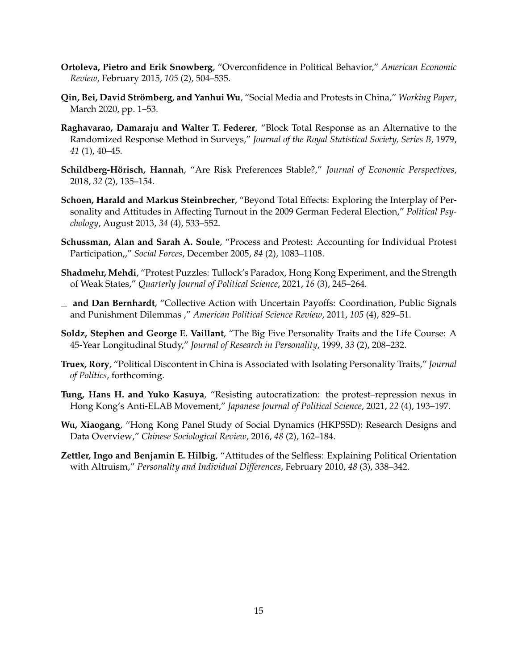- <span id="page-15-8"></span>**Ortoleva, Pietro and Erik Snowberg**, "Overconfidence in Political Behavior," *American Economic Review*, February 2015, *105* (2), 504–535.
- <span id="page-15-9"></span>**Qin, Bei, David Strömberg, and Yanhui Wu**, "Social Media and Protests in China," *Working Paper*, March 2020, pp. 1–53.
- <span id="page-15-12"></span>**Raghavarao, Damaraju and Walter T. Federer**, "Block Total Response as an Alternative to the Randomized Response Method in Surveys," *Journal of the Royal Statistical Society, Series B*, 1979, *41* (1), 40–45.
- <span id="page-15-0"></span>Schildberg-Hörisch, Hannah, "Are Risk Preferences Stable?," *Journal of Economic Perspectives*, 2018, *32* (2), 135–154.
- <span id="page-15-5"></span>**Schoen, Harald and Markus Steinbrecher**, "Beyond Total Effects: Exploring the Interplay of Personality and Attitudes in Affecting Turnout in the 2009 German Federal Election," *Political Psychology*, August 2013, *34* (4), 533–552.
- <span id="page-15-4"></span>**Schussman, Alan and Sarah A. Soule**, "Process and Protest: Accounting for Individual Protest Participation,," *Social Forces*, December 2005, *84* (2), 1083–1108.
- <span id="page-15-3"></span>**Shadmehr, Mehdi**, "Protest Puzzles: Tullock's Paradox, Hong Kong Experiment, and the Strength of Weak States," *Quarterly Journal of Political Science*, 2021, *16* (3), 245–264.
- <span id="page-15-2"></span>**and Dan Bernhardt**, "Collective Action with Uncertain Payoffs: Coordination, Public Signals and Punishment Dilemmas ," *American Political Science Review*, 2011, *105* (4), 829–51.
- <span id="page-15-1"></span>**Soldz, Stephen and George E. Vaillant**, "The Big Five Personality Traits and the Life Course: A 45-Year Longitudinal Study," *Journal of Research in Personality*, 1999, *33* (2), 208–232.
- <span id="page-15-6"></span>**Truex, Rory**, "Political Discontent in China is Associated with Isolating Personality Traits," *Journal of Politics*, forthcoming.
- <span id="page-15-10"></span>**Tung, Hans H. and Yuko Kasuya**, "Resisting autocratization: the protest–repression nexus in Hong Kong's Anti-ELAB Movement," *Japanese Journal of Political Science*, 2021, *22* (4), 193–197.
- <span id="page-15-11"></span>**Wu, Xiaogang**, "Hong Kong Panel Study of Social Dynamics (HKPSSD): Research Designs and Data Overview," *Chinese Sociological Review*, 2016, *48* (2), 162–184.
- <span id="page-15-7"></span>**Zettler, Ingo and Benjamin E. Hilbig**, "Attitudes of the Selfless: Explaining Political Orientation with Altruism," *Personality and Individual Differences*, February 2010, *48* (3), 338–342.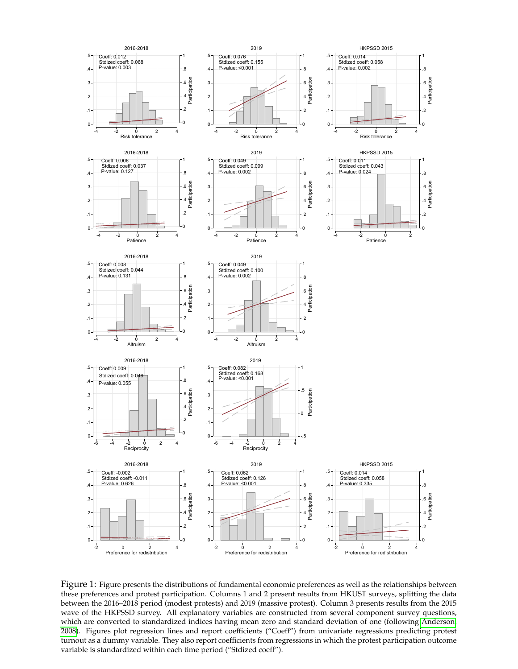

Figure 1: Figure presents the distributions of fundamental economic preferences as well as the relationships between these preferences and protest participation. Columns 1 and 2 present results from HKUST surveys, splitting the data between the 2016–2018 period (modest protests) and 2019 (massive protest). Column 3 presents results from the 2015 wave of the HKPSSD survey. All explanatory variables are constructed from several component survey questions, which are converted to standardized indices having mean zero and standard deviation of one (following [Anderson,](#page-12-14) [2008\)](#page-12-14). Figures plot regression lines and report coefficients ("Coeff") from univariate regressions predicting protest turnout as a dummy variable. They also report coefficients from regressions in which the protest participation outcome variable is standardized within each time period ("Stdized coeff").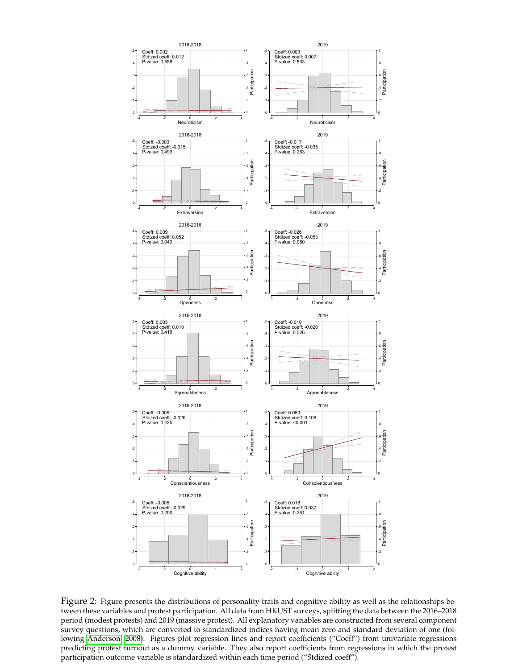

Figure 2: Figure presents the distributions of personality traits and cognitive ability as well as the relationships between these variables and protest participation. All data from HKUST surveys, splitting the data between the 2016–2018 period (modest protests) and 2019 (massive protest). All explanatory variables are constructed from several component survey questions, which are converted to standardized indices having mean zero and standard deviation of one (following [Anderson, 2008\)](#page-12-14). Figures plot regression lines and report coefficients ("Coeff") from univariate regressions predicting protest turnout as a dummy variable. They also report coefficients from regressions in which the protest participation outcome variable is standardized within each time period ("Stdized coeff").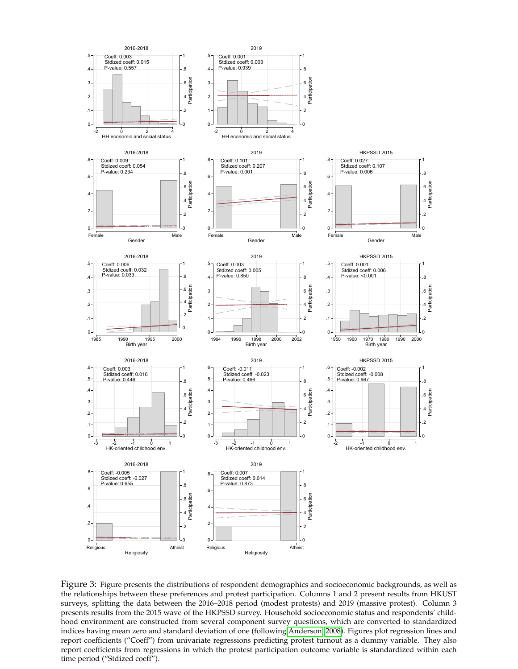

Figure 3: Figure presents the distributions of respondent demographics and socioeconomic backgrounds, as well as the relationships between these preferences and protest participation. Columns 1 and 2 present results from HKUST surveys, splitting the data between the 2016–2018 period (modest protests) and 2019 (massive protest). Column 3 presents results from the 2015 wave of the HKPSSD survey. Household socioeconomic status and respondents' childhood environment are constructed from several component survey questions, which are converted to standardized indices having mean zero and standard deviation of one (following [Anderson, 2008\)](#page-12-14). Figures plot regression lines and report coefficients ("Coeff") from univariate regressions predicting protest turnout as a dummy variable. They also report coefficients from regressions in which the protest participation outcome variable is standardized within each time period ("Stdized coeff").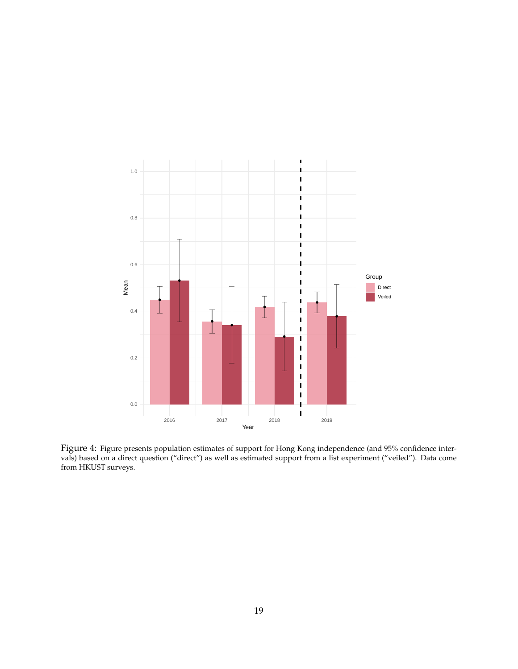

Figure 4: Figure presents population estimates of support for Hong Kong independence (and 95% confidence intervals) based on a direct question ("direct") as well as estimated support from a list experiment ("veiled"). Data come from HKUST surveys.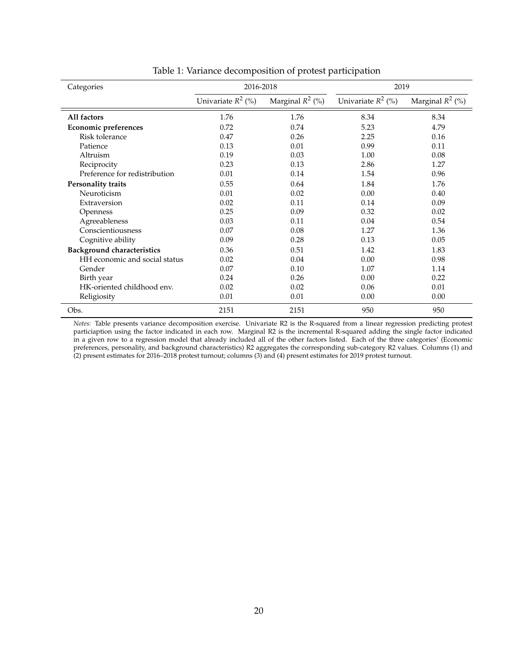| Categories                        | 2016-2018            |                    | 2019                 |                    |  |
|-----------------------------------|----------------------|--------------------|----------------------|--------------------|--|
|                                   | Univariate $R^2$ (%) | Marginal $R^2$ (%) | Univariate $R^2$ (%) | Marginal $R^2$ (%) |  |
| All factors                       | 1.76                 | 1.76               | 8.34                 | 8.34               |  |
| Economic preferences              | 0.72                 | 0.74               | 5.23                 | 4.79               |  |
| Risk tolerance                    | 0.47                 | 0.26               | 2.25                 | 0.16               |  |
| Patience                          | 0.13                 | 0.01               | 0.99                 | 0.11               |  |
| Altruism                          | 0.19                 | 0.03               | 1.00                 | 0.08               |  |
| Reciprocity                       | 0.23                 | 0.13               | 2.86                 | 1.27               |  |
| Preference for redistribution     | 0.01                 | 0.14               | 1.54                 | 0.96               |  |
| <b>Personality traits</b>         | 0.55                 | 0.64               | 1.84                 | 1.76               |  |
| Neuroticism                       | 0.01                 | 0.02               | 0.00                 | 0.40               |  |
| Extraversion                      | 0.02                 | 0.11               | 0.14                 | 0.09               |  |
| Openness                          | 0.25                 | 0.09               | 0.32                 | 0.02               |  |
| Agreeableness                     | 0.03                 | 0.11               | 0.04                 | 0.54               |  |
| Conscientiousness                 | 0.07                 | 0.08               | 1.27                 | 1.36               |  |
| Cognitive ability                 | 0.09                 | 0.28               | 0.13                 | 0.05               |  |
| <b>Background characteristics</b> | 0.36                 | 0.51               | 1.42                 | 1.83               |  |
| HH economic and social status     | 0.02                 | 0.04               | 0.00                 | 0.98               |  |
| Gender                            | 0.07                 | 0.10               | 1.07                 | 1.14               |  |
| Birth year                        | 0.24                 | 0.26               | 0.00                 | 0.22               |  |
| HK-oriented childhood env.        | 0.02                 | 0.02               | 0.06                 | 0.01               |  |
| Religiosity                       | 0.01                 | 0.01               | 0.00                 | 0.00               |  |
| Obs.                              | 2151                 | 2151               | 950                  | 950                |  |

Table 1: Variance decomposition of protest participation

*Notes:* Table presents variance decomposition exercise. Univariate R2 is the R-squared from a linear regression predicting protest particiaption using the factor indicated in each row. Marginal R2 is the incremental R-squared adding the single factor indicated in a given row to a regression model that already included all of the other factors listed. Each of the three categories' (Economic preferences, personality, and background characteristics) R2 aggregates the corresponding sub-category R2 values. Columns (1) and (2) present estimates for 2016–2018 protest turnout; columns (3) and (4) present estimates for 2019 protest turnout.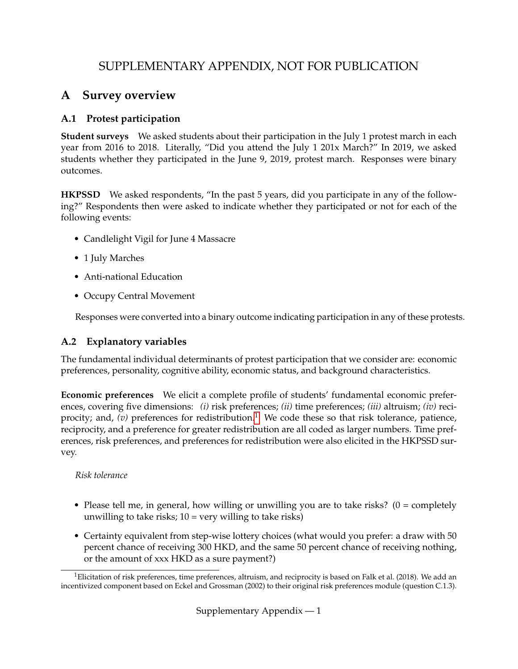# SUPPLEMENTARY APPENDIX, NOT FOR PUBLICATION

## **A Survey overview**

## **A.1 Protest participation**

**Student surveys** We asked students about their participation in the July 1 protest march in each year from 2016 to 2018. Literally, "Did you attend the July 1 201x March?" In 2019, we asked students whether they participated in the June 9, 2019, protest march. Responses were binary outcomes.

**HKPSSD** We asked respondents, "In the past 5 years, did you participate in any of the following?" Respondents then were asked to indicate whether they participated or not for each of the following events:

- Candlelight Vigil for June 4 Massacre
- 1 July Marches
- Anti-national Education
- Occupy Central Movement

Responses were converted into a binary outcome indicating participation in any of these protests.

## **A.2 Explanatory variables**

The fundamental individual determinants of protest participation that we consider are: economic preferences, personality, cognitive ability, economic status, and background characteristics.

**Economic preferences** We elicit a complete profile of students' fundamental economic preferences, covering five dimensions: *(i)* risk preferences; *(ii)* time preferences; *(iii)* altruism; *(iv)* reciprocity; and,  $(v)$  preferences for redistribution.<sup>[1](#page-0-0)</sup> We code these so that risk tolerance, patience, reciprocity, and a preference for greater redistribution are all coded as larger numbers. Time preferences, risk preferences, and preferences for redistribution were also elicited in the HKPSSD survey.

### *Risk tolerance*

- Please tell me, in general, how willing or unwilling you are to take risks?  $(0 = \text{completely})$ unwilling to take risks;  $10 = \text{very willing to take risks}$ )
- Certainty equivalent from step-wise lottery choices (what would you prefer: a draw with 50 percent chance of receiving 300 HKD, and the same 50 percent chance of receiving nothing, or the amount of xxx HKD as a sure payment?)

<sup>&</sup>lt;sup>1</sup>Elicitation of risk preferences, time preferences, altruism, and reciprocity is based on Falk et al. (2018). We add an incentivized component based on Eckel and Grossman (2002) to their original risk preferences module (question C.1.3).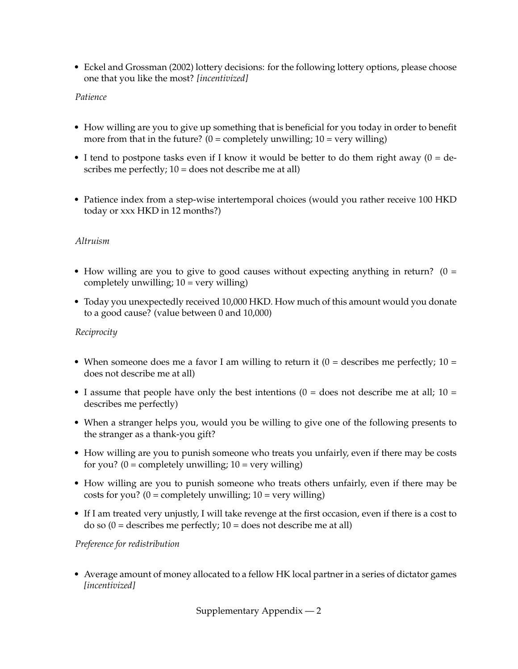• Eckel and Grossman (2002) lottery decisions: for the following lottery options, please choose one that you like the most? *[incentivized]*

#### *Patience*

- How willing are you to give up something that is beneficial for you today in order to benefit more from that in the future?  $(0 = \text{completely unwilling}; 10 = \text{very willing})$
- I tend to postpone tasks even if I know it would be better to do them right away  $(0 = de$ scribes me perfectly; 10 = does not describe me at all)
- Patience index from a step-wise intertemporal choices (would you rather receive 100 HKD today or xxx HKD in 12 months?)

#### *Altruism*

- How willing are you to give to good causes without expecting anything in return?  $(0 =$ completely unwilling;  $10 = \text{very willing}$ )
- Today you unexpectedly received 10,000 HKD. How much of this amount would you donate to a good cause? (value between 0 and 10,000)

#### *Reciprocity*

- When someone does me a favor I am willing to return it  $(0 =$  describes me perfectly;  $10 =$ does not describe me at all)
- I assume that people have only the best intentions  $(0 =$  does not describe me at all;  $10 =$ describes me perfectly)
- When a stranger helps you, would you be willing to give one of the following presents to the stranger as a thank-you gift?
- How willing are you to punish someone who treats you unfairly, even if there may be costs for you? ( $0 =$  completely unwilling;  $10 =$  very willing)
- How willing are you to punish someone who treats others unfairly, even if there may be costs for you? ( $0 =$  completely unwilling;  $10 =$  very willing)
- If I am treated very unjustly, I will take revenge at the first occasion, even if there is a cost to do so  $(0 =$  describes me perfectly;  $10 =$  does not describe me at all)

#### *Preference for redistribution*

• Average amount of money allocated to a fellow HK local partner in a series of dictator games *[incentivized]*

Supplementary Appendix — 2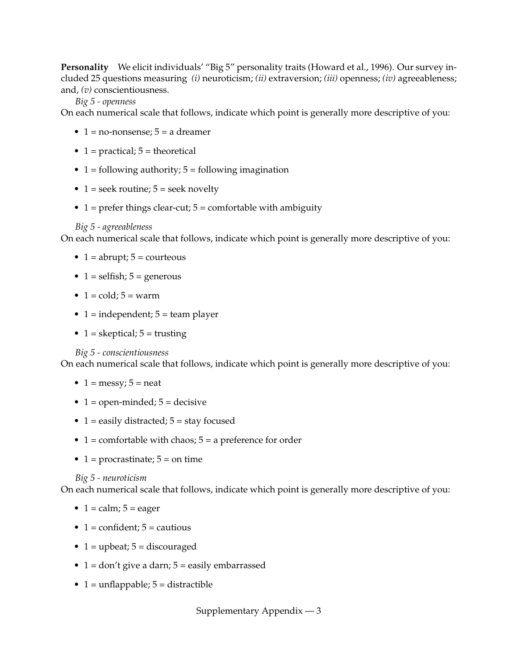**Personality** We elicit individuals' "Big 5" personality traits (Howard et al., 1996). Our survey included 25 questions measuring *(i)* neuroticism; *(ii)* extraversion; *(iii)* openness; *(iv)* agreeableness; and, *(v)* conscientiousness.

#### *Big 5 - openness*

On each numerical scale that follows, indicate which point is generally more descriptive of you:

- $\bullet$  1 = no-nonsense; 5 = a dreamer
- 1 = practical;  $5$  = theoretical
- $1 =$  following authority;  $5 =$  following imagination
- 1 = seek routine;  $5$  = seek novelty
- $1 =$  prefer things clear-cut;  $5 =$  comfortable with ambiguity

#### *Big 5 - agreeableness*

On each numerical scale that follows, indicate which point is generally more descriptive of you:

- $1 =$  abrupt;  $5 =$  courteous
- 1 = selfish;  $5$  = generous
- $1 = \text{cold}$ ;  $5 = \text{warm}$
- 1 = independent;  $5$  = team player
- 1 = skeptical;  $5 =$  trusting

*Big 5 - conscientiousness*

On each numerical scale that follows, indicate which point is generally more descriptive of you:

- $1 = \text{messy}; 5 = \text{heat}$
- $1 =$  open-minded;  $5 =$  decisive
- 1 = easily distracted;  $5 =$  stay focused
- $1 =$  comfortable with chaos;  $5 =$  a preference for order
- 1 = procrastinate;  $5 =$  on time

#### *Big 5 - neuroticism*

On each numerical scale that follows, indicate which point is generally more descriptive of you:

- $1 = \text{calm}; 5 = \text{eager}$
- 1 = confident;  $5$  = cautious
- 1 = upbeat;  $5 =$  discouraged
- $1 = don't give a darn; 5 = easily embarrassed$
- $1 =$  unflappable;  $5 =$  distractible

Supplementary Appendix — 3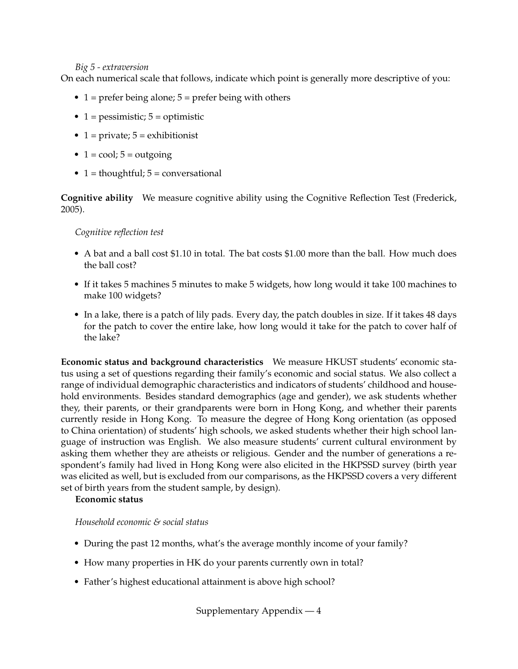#### *Big 5 - extraversion*

On each numerical scale that follows, indicate which point is generally more descriptive of you:

- 1 = prefer being alone;  $5$  = prefer being with others
- 1 = pessimistic;  $5 =$  optimistic
- 1 = private;  $5$  = exhibitionist
- $1 = \text{cool}$ ;  $5 = \text{outgoing}$
- $1 =$  thoughtful;  $5 =$  conversational

**Cognitive ability** We measure cognitive ability using the Cognitive Reflection Test (Frederick, 2005).

#### *Cognitive reflection test*

- A bat and a ball cost \$1.10 in total. The bat costs \$1.00 more than the ball. How much does the ball cost?
- If it takes 5 machines 5 minutes to make 5 widgets, how long would it take 100 machines to make 100 widgets?
- In a lake, there is a patch of lily pads. Every day, the patch doubles in size. If it takes 48 days for the patch to cover the entire lake, how long would it take for the patch to cover half of the lake?

**Economic status and background characteristics** We measure HKUST students' economic status using a set of questions regarding their family's economic and social status. We also collect a range of individual demographic characteristics and indicators of students' childhood and household environments. Besides standard demographics (age and gender), we ask students whether they, their parents, or their grandparents were born in Hong Kong, and whether their parents currently reside in Hong Kong. To measure the degree of Hong Kong orientation (as opposed to China orientation) of students' high schools, we asked students whether their high school language of instruction was English. We also measure students' current cultural environment by asking them whether they are atheists or religious. Gender and the number of generations a respondent's family had lived in Hong Kong were also elicited in the HKPSSD survey (birth year was elicited as well, but is excluded from our comparisons, as the HKPSSD covers a very different set of birth years from the student sample, by design).

#### **Economic status**

*Household economic & social status*

- During the past 12 months, what's the average monthly income of your family?
- How many properties in HK do your parents currently own in total?
- Father's highest educational attainment is above high school?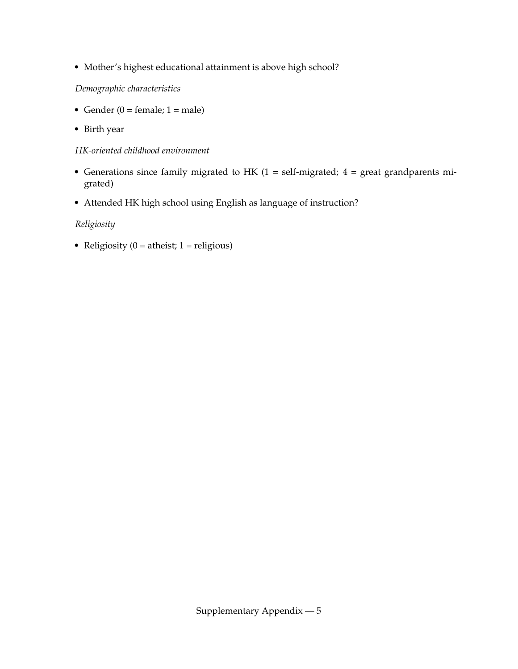• Mother's highest educational attainment is above high school?

### *Demographic characteristics*

- Gender ( $0 =$  female;  $1 =$  male)
- Birth year

#### *HK-oriented childhood environment*

- Generations since family migrated to HK  $(1 = self-migrated; 4 = great grandparents$ grated)
- Attended HK high school using English as language of instruction?

## *Religiosity*

• Religiosity ( $0 =$  atheist; 1 = religious)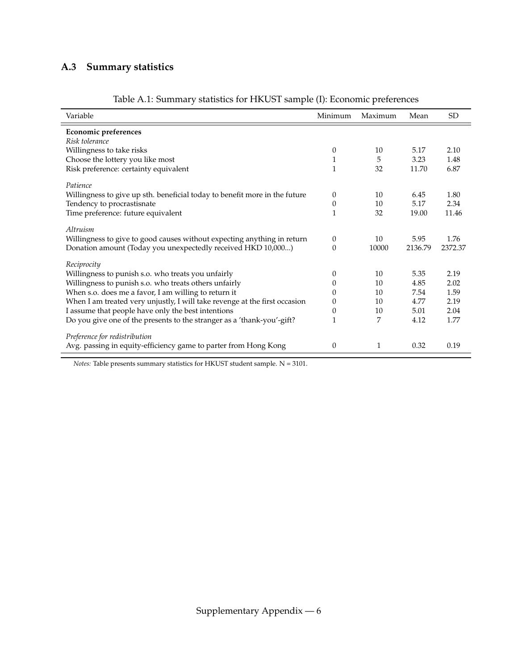# **A.3 Summary statistics**

| Variable                                                                   | Minimum      | Maximum | Mean    | SD <sub>.</sub> |
|----------------------------------------------------------------------------|--------------|---------|---------|-----------------|
| <b>Economic preferences</b>                                                |              |         |         |                 |
| Risk tolerance                                                             |              |         |         |                 |
| Willingness to take risks                                                  | 0            | 10      | 5.17    | 2.10            |
| Choose the lottery you like most                                           | 1            | 5       | 3.23    | 1.48            |
| Risk preference: certainty equivalent                                      | $\mathbf{1}$ | 32      | 11.70   | 6.87            |
| Patience                                                                   |              |         |         |                 |
| Willingness to give up sth. beneficial today to benefit more in the future | $\theta$     | 10      | 6.45    | 1.80            |
| Tendency to procrastisnate                                                 | 0            | 10      | 5.17    | 2.34            |
| Time preference: future equivalent                                         | 1            | 32      | 19.00   | 11.46           |
| Altruism                                                                   |              |         |         |                 |
| Willingness to give to good causes without expecting anything in return    | $\theta$     | 10      | 5.95    | 1.76            |
| Donation amount (Today you unexpectedly received HKD 10,000)               | $\Omega$     | 10000   | 2136.79 | 2372.37         |
| Reciprocity                                                                |              |         |         |                 |
| Willingness to punish s.o. who treats you unfairly                         | 0            | 10      | 5.35    | 2.19            |
| Willingness to punish s.o. who treats others unfairly                      | 0            | 10      | 4.85    | 2.02            |
| When s.o. does me a favor, I am willing to return it                       | $\theta$     | 10      | 7.54    | 1.59            |
| When I am treated very unjustly, I will take revenge at the first occasion | 0            | 10      | 4.77    | 2.19            |
| I assume that people have only the best intentions                         | 0            | 10      | 5.01    | 2.04            |
| Do you give one of the presents to the stranger as a 'thank-you'-gift?     |              | 7       | 4.12    | 1.77            |
| Preference for redistribution                                              |              |         |         |                 |
| Avg. passing in equity-efficiency game to parter from Hong Kong            | 0            | 1       | 0.32    | 0.19            |

## Table A.1: Summary statistics for HKUST sample (I): Economic preferences

*Notes:* Table presents summary statistics for HKUST student sample. N = 3101.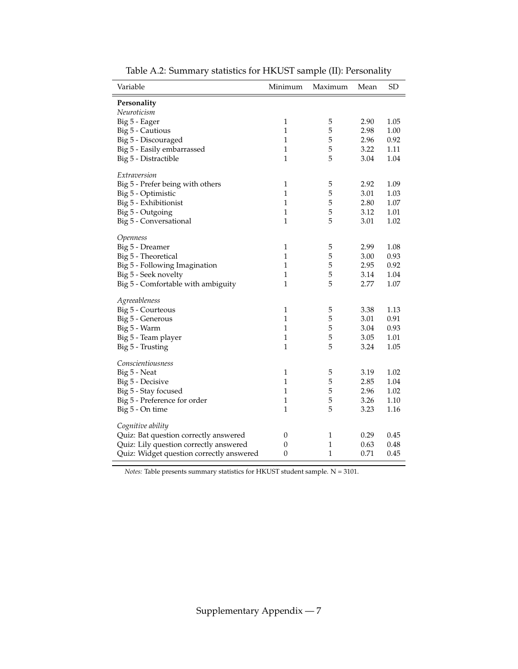| Variable                                 | Minimum          | Maximum      | Mean | <b>SD</b> |
|------------------------------------------|------------------|--------------|------|-----------|
| Personality                              |                  |              |      |           |
| Neuroticism                              |                  |              |      |           |
| Big 5 - Eager                            | $\,1\,$          | 5            | 2.90 | 1.05      |
| Big 5 - Cautious                         | $\mathbf{1}$     | 5            | 2.98 | 1.00      |
| Big 5 - Discouraged                      | $\mathbf{1}$     | 5            | 2.96 | 0.92      |
| Big 5 - Easily embarrassed               | $\mathbf{1}$     | 5            | 3.22 | 1.11      |
| Big 5 - Distractible                     | $\mathbf{1}$     | 5            | 3.04 | 1.04      |
| Extraversion                             |                  |              |      |           |
| Big 5 - Prefer being with others         | $\mathbf 1$      | 5            | 2.92 | 1.09      |
| Big 5 - Optimistic                       | $\mathbf{1}$     | 5            | 3.01 | 1.03      |
| Big 5 - Exhibitionist                    | $\mathbf{1}$     | 5            | 2.80 | 1.07      |
| Big 5 - Outgoing                         | $\mathbf{1}$     | 5            | 3.12 | 1.01      |
| Big 5 - Conversational                   | $\mathbf{1}$     | 5            | 3.01 | 1.02      |
| Openness                                 |                  |              |      |           |
| Big 5 - Dreamer                          | $\,1$            | 5            | 2.99 | 1.08      |
| Big 5 - Theoretical                      | $\mathbf{1}$     | 5            | 3.00 | 0.93      |
| Big 5 - Following Imagination            | $\mathbf{1}$     | 5            | 2.95 | 0.92      |
| Big 5 - Seek novelty                     | $\mathbf{1}$     | 5            | 3.14 | 1.04      |
| Big 5 - Comfortable with ambiguity       | $\mathbf{1}$     | 5            | 2.77 | 1.07      |
| Agreeableness                            |                  |              |      |           |
| Big 5 - Courteous                        | $\mathbf{1}$     | 5            | 3.38 | 1.13      |
| Big 5 - Generous                         | $\mathbf{1}$     | 5            | 3.01 | 0.91      |
| Big 5 - Warm                             | $\mathbf{1}$     | 5            | 3.04 | 0.93      |
| Big 5 - Team player                      | $\mathbf{1}$     | 5            | 3.05 | 1.01      |
| Big 5 - Trusting                         | 1                | 5            | 3.24 | 1.05      |
| Conscientiousness                        |                  |              |      |           |
| Big 5 - Neat                             | $\mathbf{1}$     | 5            | 3.19 | 1.02      |
| Big 5 - Decisive                         | $\mathbf{1}$     | 5            | 2.85 | 1.04      |
| Big 5 - Stay focused                     | $\mathbf{1}$     | 5            | 2.96 | 1.02      |
| Big 5 - Preference for order             | $\,1$            | 5            | 3.26 | 1.10      |
| Big 5 - On time                          | $\mathbf{1}$     | 5            | 3.23 | 1.16      |
| Cognitive ability                        |                  |              |      |           |
| Quiz: Bat question correctly answered    | $\boldsymbol{0}$ | 1            | 0.29 | 0.45      |
| Quiz: Lily question correctly answered   | $\boldsymbol{0}$ | 1            | 0.63 | 0.48      |
| Quiz: Widget question correctly answered | $\boldsymbol{0}$ | $\mathbf{1}$ | 0.71 | 0.45      |
|                                          |                  |              |      |           |

Table A.2: Summary statistics for HKUST sample (II): Personality

*Notes:* Table presents summary statistics for HKUST student sample. N = 3101.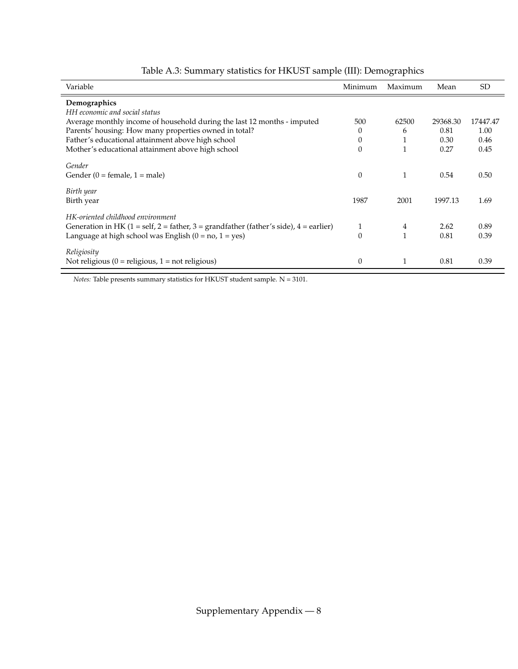| Variable                                                                                                                                                                                     | Minimum          | Maximum | Mean         | <b>SD</b>    |
|----------------------------------------------------------------------------------------------------------------------------------------------------------------------------------------------|------------------|---------|--------------|--------------|
| Demographics<br>HH economic and social status                                                                                                                                                |                  |         |              |              |
| Average monthly income of household during the last 12 months - imputed                                                                                                                      | 500              | 62500   | 29368.30     | 17447.47     |
| Parents' housing: How many properties owned in total?                                                                                                                                        | $\theta$         | 6       | 0.81         | 1.00         |
| Father's educational attainment above high school                                                                                                                                            | $\boldsymbol{0}$ | 1       | 0.30         | 0.46         |
| Mother's educational attainment above high school                                                                                                                                            | $\mathbf{0}$     |         | 0.27         | 0.45         |
| Gender<br>Gender $(0 = \text{female}, 1 = \text{male})$                                                                                                                                      | $\boldsymbol{0}$ | 1       | 0.54         | 0.50         |
| Birth year<br>Birth year                                                                                                                                                                     | 1987             | 2001    | 1997.13      | 1.69         |
| HK-oriented childhood environment<br>Generation in HK $(1 = self, 2 = father, 3 = grandfather (father's side), 4 = earlier)$<br>Language at high school was English ( $0 = no$ , $1 = yes$ ) | 1<br>$\theta$    | 4<br>1  | 2.62<br>0.81 | 0.89<br>0.39 |
| Religiosity<br>Not religious ( $0 =$ religious, $1 =$ not religious)                                                                                                                         | $\boldsymbol{0}$ |         | 0.81         | 0.39         |

## Table A.3: Summary statistics for HKUST sample (III): Demographics

*Notes:* Table presents summary statistics for HKUST student sample. N = 3101.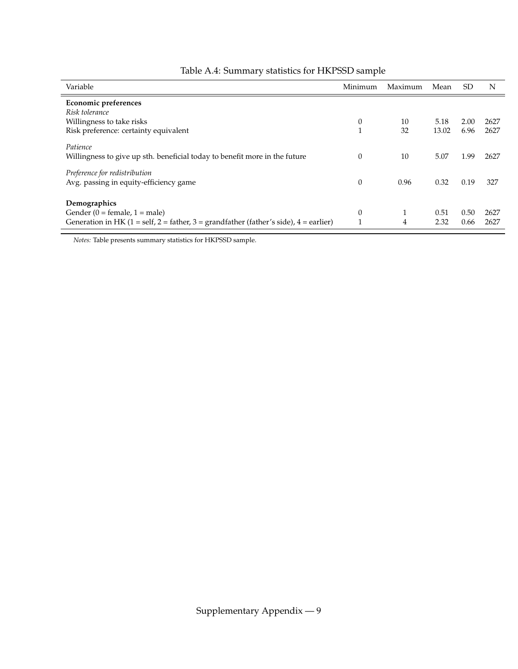| Variable                                                                                | Minimum          | Maximum      | Mean  | SD.  | N    |
|-----------------------------------------------------------------------------------------|------------------|--------------|-------|------|------|
| Economic preferences                                                                    |                  |              |       |      |      |
| Risk tolerance                                                                          |                  |              |       |      |      |
| Willingness to take risks                                                               | $\theta$         | 10           | 5.18  | 2.00 | 2627 |
| Risk preference: certainty equivalent                                                   | 1                | 32           | 13.02 | 6.96 | 2627 |
| Patience                                                                                |                  |              |       |      |      |
| Willingness to give up sth. beneficial today to benefit more in the future              | $\theta$         | 10           | 5.07  | 1.99 | 2627 |
| Preference for redistribution                                                           |                  |              |       |      |      |
| Avg. passing in equity-efficiency game                                                  | $\theta$         | 0.96         | 0.32  | 0.19 | 327  |
|                                                                                         |                  |              |       |      |      |
| Demographics                                                                            |                  |              |       |      |      |
| Gender $(0 = \text{female}, 1 = \text{male})$                                           | $\boldsymbol{0}$ | $\mathbf{1}$ | 0.51  | 0.50 | 2627 |
| Generation in HK $(1 = self, 2 = father, 3 = grandfather (father's side), 4 = earlier)$ |                  | 4            | 2.32  | 0.66 | 2627 |

## Table A.4: Summary statistics for HKPSSD sample

*Notes:* Table presents summary statistics for HKPSSD sample.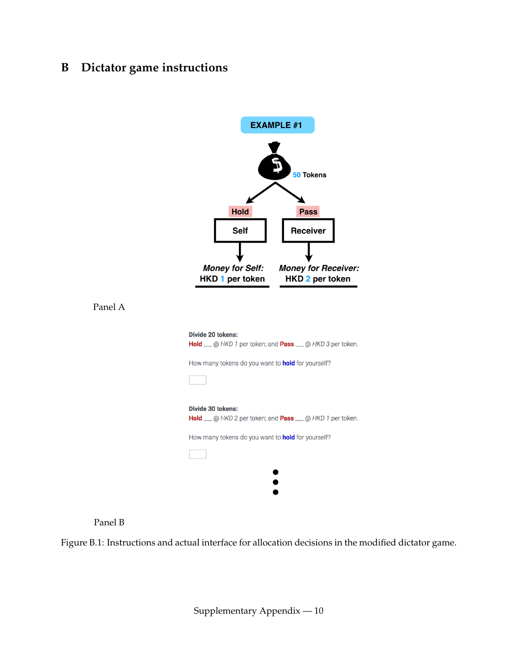# **B Dictator game instructions**





Figure B.1: Instructions and actual interface for allocation decisions in the modified dictator game.

Supplementary Appendix — 10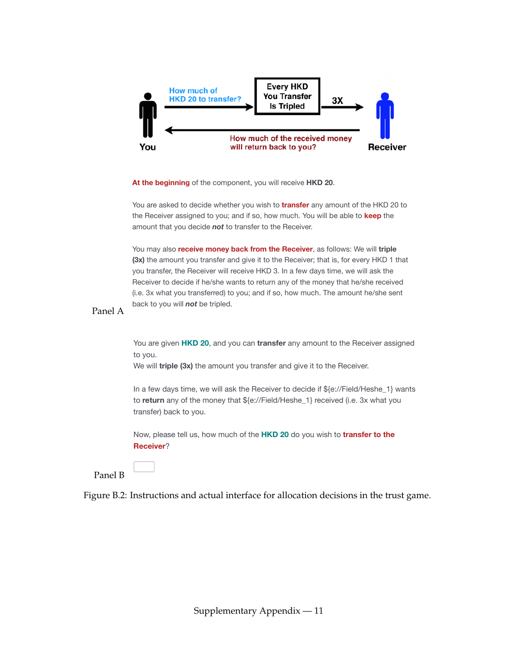

**At the beginning** of the component, you will receive **HKD 20**.

You are asked to decide whether you wish to **transfer** any amount of the HKD 20 to the Receiver assigned to you; and if so, how much. You will be able to **keep** the amount that you decide *not* to transfer to the Receiver.

You may also **receive money back from the Receiver**, as follows: We will **triple (3x)** the amount you transfer and give it to the Receiver; that is, for every HKD 1 that you transfer, the Receiver will receive HKD 3. In a few days time, we will ask the you transfer, the Receiver will receive HKD 3. In a few days time, we will ask the Receiver to decide if he/she wants to return any of the money that he/she received (i.e. 3x what you transferred) to you; and if so, how much. The amount he/she sent back to you will *not* be tripled.

#### Panel A

You are given **HKD 20**, and you can *transfer* any amount to the Receiver assigned payment, you will be payment that you decided to you. to you.

We will **triple (3x)** the amount you transfer and give it to the Receiver.

In a few days time, we will ask the Receiver to decide if \${e://Field/Heshe\_1} wants to return any of the money that \${e://Field/Heshe\_1} received (i.e. 3x what you transfer) back to you.

Now, please tell us, how much of the **HKD 20** do you wish to **transfer to the Receiver?** 

Panel B

Last Click: *0 seconds*

#QuestionText, TimingPageSubmit#: *0 seconds*

Figure B.2: Instructions and actual interface for allocation decisions in the trust game.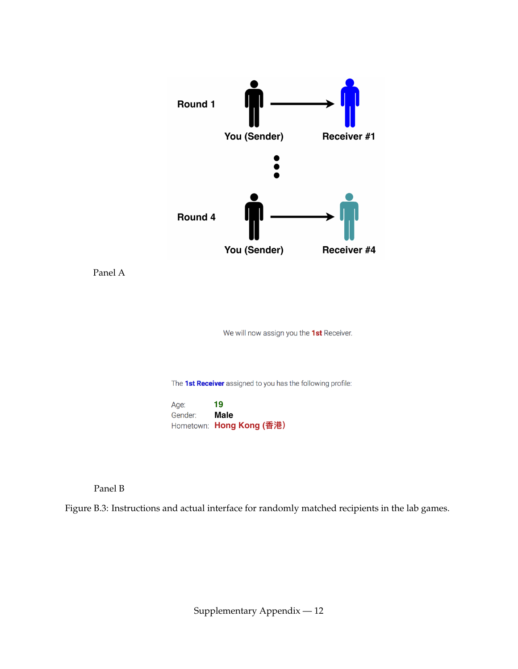

We will now assign you the 1st Receiver.

The 1st Receiver assigned to you has the following profile:

**19** Age: **Male** Gender: Hometown: Hong Kong (香港)

Panel B

Figure B.3: Instructions and actual interface for randomly matched recipients in the lab games.

Supplementary Appendix — 12